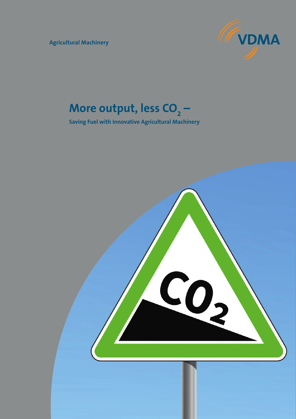**Agricultural Machinery**



# More output, less CO<sub>2</sub> –

**Saving Fuel with Innovative Agricultural Machinery**

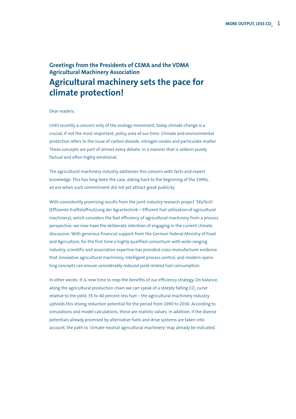## **Greetings from the Presidents of CEMA and the VDMA Agricultural Machinery Association Agricultural machinery sets the pace for climate protection!**

#### Dear readers,

Until recently a concern only of the ecology movement, today climate change is a crucial, if not the most important, policy area of our time: Climate and environmental protection refers to the issue of carbon dioxide, nitrogen oxides and particulate matter. These concepts are part of almost every debate, in a manner that is seldom purely factual and often highly emotional.

The agricultural machinery industry addresses this concern with facts and expert knowledge. This has long been the case, dating back to the beginning of the 1990s, an era when such commitment did not yet attract great publicity.

With consistently promising results from the joint industry research project 'EKoTech' (Effiziente Kraftstoffnutzung der Agrartechnik – Efficient fuel utilisation of agricultural machinery), which considers the fuel efficiency of agricultural machinery from a process perspective, we now have the deliberate intention of engaging in the current climate discussion. With generous financial support from the German Federal Ministry of Food and Agriculture, for the first time a highly qualified consortium with wide-ranging industry, scientific and association expertise has provided cross-manufacturer evidence that innovative agricultural machinery, intelligent process control, and modern operating concepts can ensure considerably reduced yield-related fuel consumption.

In other words: It is now time to reap the benefits of our efficiency strategy. On balance, along the agricultural production chain we can speak of a steeply falling CO<sub>2</sub> curve relative to the yield. 35 to 40 percent less fuel – the agricultural machinery industry upholds this strong reduction potential for the period from 1990 to 2030. According to simulations and model calculations, these are realistic values. In addition, if the diverse potentials already promised by alternative fuels and drive systems are taken into account, the path to 'climate-neutral agricultural machinery' may already be indicated.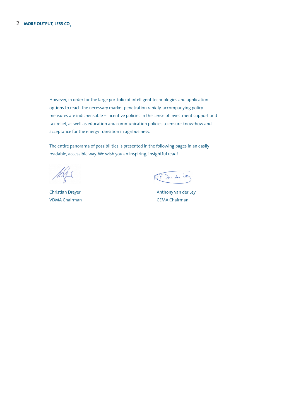However, in order for the large portfolio of intelligent technologies and application options to reach the necessary market penetration rapidly, accompanying policy measures are indispensable – incentive policies in the sense of investment support and tax relief, as well as education and communication policies to ensure know-how and acceptance for the energy transition in agribusiness.

The entire panorama of possibilities is presented in the following pages in an easily readable, accessible way. We wish you an inspiring, insightful read!

 $\mathcal{M}$ 

VDMA Chairman CEMA Chairman

Ke Indulay

Christian Dreyer **Anthony van der Ley** Anthony van der Ley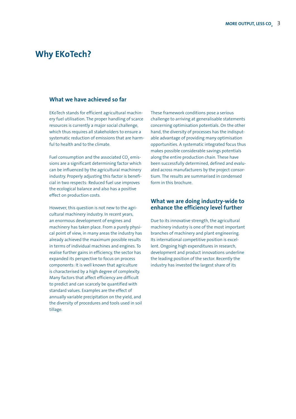## **Why EKoTech?**

### **What we have achieved so far**

EKoTech stands for efficient agricultural machinery fuel utilisation. The proper handling of scarce resources is currently a major social challenge, which thus requires all stakeholders to ensure a systematic reduction of emissions that are harmful to health and to the climate.

Fuel consumption and the associated CO $_{_2}$  emissions are a significant determining factor which can be influenced by the agricultural machinery industry. Properly adjusting this factor is beneficial in two respects: Reduced fuel use improves the ecological balance and also has a positive effect on production costs.

However, this question is not new to the agricultural machinery industry. In recent years, an enormous development of engines and machinery has taken place. From a purely physical point of view, in many areas the industry has already achieved the maximum possible results in terms of individual machines and engines. To realise further gains in efficiency, the sector has expanded its perspective to focus on process components: It is well known that agriculture is characterised by a high degree of complexity. Many factors that affect efficiency are difficult to predict and can scarcely be quantified with standard values. Examples are the effect of annually variable precipitation on the yield, and the diversity of procedures and tools used in soil tillage.

These framework conditions pose a serious challenge to arriving at generalisable statements concerning optimisation potentials. On the other hand, the diversity of processes has the indisputable advantage of providing many optimisation opportunities. A systematic integrated focus thus makes possible considerable savings potentials along the entire production chain. These have been successfully determined, defined and evaluated across manufacturers by the project consortium. The results are summarised in condensed form in this brochure.

### **What we are doing industry-wide to enhance the efficiency level further**

Due to its innovative strength, the agricultural machinery industry is one of the most important branches of machinery and plant engineering. Its international competitive position is excellent. Ongoing high expenditures in research, development and product innovations underline the leading position of the sector. Recently the industry has invested the largest share of its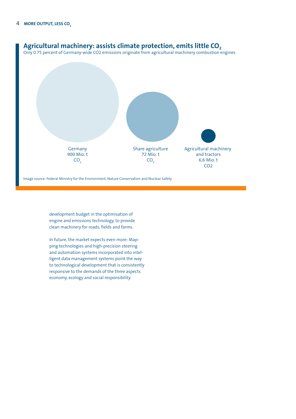

development budget in the optimisation of engine and emissions technology, to provide clean machinery for roads, fields and farms.

In future, the market expects even more: Mapping technologies and high-precision steering and automation systems incorporated into intelligent data management systems point the way to technological development that is consistently responsive to the demands of the three aspects economy, ecology and social responsibility.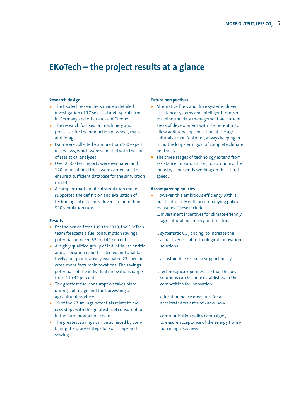## **EKoTech – the project results at a glance**

#### **Research design**

- **•** The EKoTech researchers made a detailed investigation of 17 selected and typical farms in Germany and other areas of Europe.
- **•** The research focused on machinery and processes for the production of wheat, maize and forage.
- **•** Data were collected via more than 100 expert interviews, which were validated with the aid of statistical analyses.
- **•** Over 2,500 test reports were evaluated and 120 hours of field trials were carried out, to ensure a sufficient database for the simulation model.
- **•** A complex mathematical simulation model supported the definition and evaluation of technological efficiency drivers in more than 530 simulation runs.

#### **Results**

- **•** For the period from 1990 to 2030, the EKoTech team forecasts a fuel consumption savings potential between 35 and 40 percent.
- **•** A highly qualified group of industrial, scientific and association experts selected and qualitatively and quantitatively evaluated 27 specific cross-manufacturer innovations. The savings potentials of the individual innovations range from 2 to 42 percent.
- **•** The greatest fuel consumption takes place during soil tillage and the harvesting of agricultural produce.
- **•** 19 of the 27 savings potentials relate to process steps with the greatest fuel consumption in the farm production chain.
- **•** The greatest savings can be achieved by combining the process steps for soil tillage and sowing.

#### **Future perspectives**

- **•** Alternative fuels and drive systems, driver assistance systems and intelligent forms of machine and data management are current areas of development with the potential to allow additional optimisation of the agricultural carbon footprint, always keeping in mind the long-term goal of complete climate neutrality.
- **•** The three stages of technology extend from assistance, to automation, to autonomy. The industry is presently working on this at full speed.

### **Accompanying policies**

- **•** However, this ambitious efficiency path is practicable only with accompanying policy measures. These include:
	- … investment incentives for climate-friendly agricultural machinery and tractors
	- ... systematic CO $_{\textrm{\tiny{2}}}$  pricing, to increase the attractiveness of technological innovation solutions
	- … a sustainable research support policy
	- … technological openness, so that the best solutions can become established in the competition for innovation
	- … education policy measures for an accelerated transfer of know-how
	- … communication policy campaigns, to ensure acceptance of the energy transition in agribusiness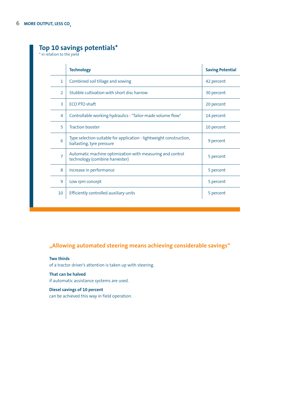### **Top 10 savings potentials\***

\* in relation to the yield

|                | <b>Technology</b>                                                                                | <b>Saving Potential</b> |
|----------------|--------------------------------------------------------------------------------------------------|-------------------------|
| 1              | Combined soil tillage and sowing                                                                 | 42 percent              |
| $\overline{2}$ | Stubble cultivation with short disc harrow                                                       | 30 percent              |
| $\overline{3}$ | <b>ECO PTO shaft</b>                                                                             | 20 percent              |
| 4              | Controllable working hydraulics - "Tailor-made volume flow"                                      | 14 percent              |
| 5              | <b>Traction booster</b>                                                                          | 10 percent              |
| 6              | Type selection suitable for application - lightweight construction,<br>ballasting, tyre pressure | 9 percent               |
| $\overline{7}$ | Automatic machine optimization with measuring and control<br>technology (combine harvester)      | 5 percent               |
| 8              | Increase in performance                                                                          | 5 percent               |
| 9              | Low rpm concept                                                                                  | 5 percent               |
| 10             | Efficiently controlled auxiliary units                                                           | 5 percent               |

### **"Allowing automated steering means achieving considerable savings"**

### **Two thirds**

of a tractor driver's attention is taken up with steering.

### **That can be halved**

if automatic assistance systems are used.

### **Diesel savings of 10 percent**

can be achieved this way in field operation.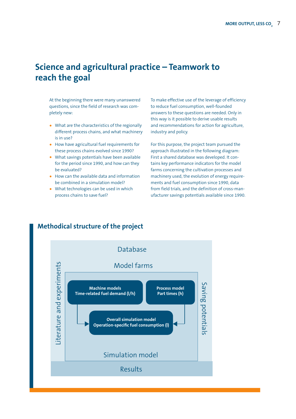## **Science and agricultural practice – Teamwork to reach the goal**

At the beginning there were many unanswered questions, since the field of research was completely new:

- **•** What are the characteristics of the regionally different process chains, and what machinery is in use?
- **•** How have agricultural fuel requirements for these process chains evolved since 1990?
- **•** What savings potentials have been available for the period since 1990, and how can they be evaluated?
- **•** How can the available data and information be combined in a simulation model?
- **•** What technologies can be used in which process chains to save fuel?

To make effective use of the leverage of efficiency to reduce fuel consumption, well-founded answers to these questions are needed. Only in this way is it possible to derive usable results and recommendations for action for agriculture, industry and policy.

For this purpose, the project team pursued the approach illustrated in the following diagram: First a shared database was developed. It contains key performance indicators for the model farms concerning the cultivation processes and machinery used, the evolution of energy requirements and fuel consumption since 1990, data from field trials, and the definition of cross-manufacturer savings potentials available since 1990.



### **Methodical structure of the project**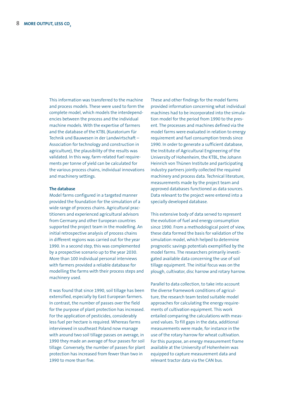This information was transferred to the machine and process models. These were used to form the complete model, which models the interdependencies between the process and the individual machine models. With the expertise of farmers and the database of the KTBL (Kuratorium für Technik und Bauwesen in der Landwirtschaft – Association for technology and construction in agriculture), the plausibility of the results was validated. In this way, farm-related fuel requirements per tonne of yield can be calculated for the various process chains, individual innovations and machinery settings.

#### **The database**

Model farms configured in a targeted manner provided the foundation for the simulation of a wide range of process chains. Agricultural practitioners and experienced agricultural advisors from Germany and other European countries supported the project team in the modelling. An initial retrospective analysis of process chains in different regions was carried out for the year 1990. In a second step, this was complemented by a prospective scenario up to the year 2030. More than 100 individual personal interviews with farmers provided a reliable database for modelling the farms with their process steps and machinery used.

It was found that since 1990, soil tillage has been extensified, especially by East European farmers. In contrast, the number of passes over the field for the purpose of plant protection has increased. For the application of pesticides, considerably less fuel per hectare is required. Whereas farms interviewed in southeast Poland now manage with around two soil tillage passes on average, in 1990 they made an average of four passes for soil tillage. Conversely, the number of passes for plant protection has increased from fewer than two in 1990 to more than five.

These and other findings for the model farms provided information concerning what individual machines had to be incorporated into the simulation model for the period from 1990 to the present. The processes and machines defined via the model farms were evaluated in relation to energy requirement and fuel consumption trends since 1990. In order to generate a sufficient database, the Institute of Agricultural Engineering of the University of Hohenheim, the KTBL, the Johann Heinrich von Thünen Institute and participating industry partners jointly collected the required machinery and process data. Technical literature, measurements made by the project team and approved databases functioned as data sources. Data relevant to the project were entered into a specially developed database.

This extensive body of data served to represent the evolution of fuel and energy consumption since 1990. From a methodological point of view, these data formed the basis for validation of the simulation model, which helped to determine prognostic savings potentials exemplified by the model farms. The researchers primarily investigated available data concerning the use of soil tillage equipment. The initial focus was on the plough, cultivator, disc harrow and rotary harrow.

Parallel to data collection, to take into account the diverse framework conditions of agriculture, the research team tested suitable model approaches for calculating the energy requirements of cultivation equipment. This work entailed comparing the calculations with measured values. To fill gaps in the data, additional measurements were made, for instance in the use of the rotary harrow for wheat cultivation. For this purpose, an energy measurement frame available at the University of Hohenheim was equipped to capture measurement data and relevant tractor data via the CAN bus.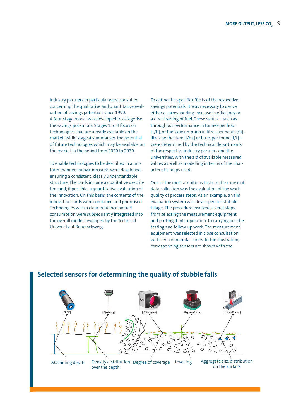Industry partners in particular were consulted concerning the qualitative and quantitative evaluation of savings potentials since 1990. A four-stage model was developed to categorise the savings potentials. Stages 1 to 3 focus on technologies that are already available on the market, while stage 4 summarises the potential of future technologies which may be available on the market in the period from 2020 to 2030.

To enable technologies to be described in a uniform manner, innovation cards were developed, ensuring a consistent, clearly understandable structure. The cards include a qualitative description and, if possible, a quantitative evaluation of the innovation. On this basis, the contents of the innovation cards were combined and prioritised. Technologies with a clear influence on fuel consumption were subsequently integrated into the overall model developed by the Technical University of Braunschweig.

To define the specific effects of the respective savings potentials, it was necessary to derive either a corresponding increase in efficiency or a direct saving of fuel. These values – such as throughput performance in tonnes per hour [t/h], or fuel consumption in litres per hour [l/h], litres per hectare [l/ha] or litres per tonne [l/t] – were determined by the technical departments of the respective industry partners and the universities, with the aid of available measured values as well as modelling in terms of the characteristic maps used.

One of the most ambitious tasks in the course of data collection was the evaluation of the work quality of process steps. As an example, a valid evaluation system was developed for stubble tillage. The procedure involved several steps, from selecting the measurement equipment and putting it into operation, to carrying out the testing and follow-up work. The measurement equipment was selected in close consultation with sensor manufacturers. In the illustration, corresponding sensors are shown with the



### **Selected sensors for determining the quality of stubble falls**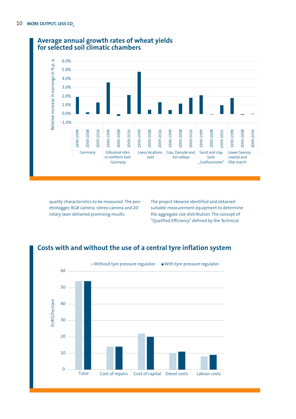

### **Average annual growth rates of wheat yields for selected soil climatic chambers**

quality characteristics to be measured. The penetrologger, RGB camera, stereo camera and 2D rotary laser delivered promising results.

The project likewise identified and obtained suitable measurement equipment to determine the aggregate size distribution. The concept of "Qualified Efficiency" defined by the Technical

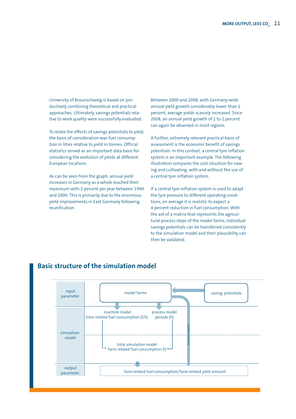University of Braunschweig is based on productively combining theoretical and practical approaches. Ultimately, savings potentials relative to work quality were successfully evaluated.

To relate the effects of savings potentials to yield, the basis of consideration was fuel consumption in litres relative to yield in tonnes. Official statistics served as an important data basis for considering the evolution of yields at different European locations.

As can be seen from the graph, annual yield increases in Germany as a whole reached their maximum with 2 percent per year between 1990 and 2000. This is primarily due to the enormous yield improvements in East Germany following reunification.

Between 2000 and 2008, with Germany-wide annual yield growth considerably lower than 1 percent, average yields scarcely increased. Since 2008, an annual yield growth of 1 to 2 percent can again be observed in most regions.

A further, extremely relevant practical basis of assessment is the economic benefit of savings potentials. In this context, a central tyre inflation system is an important example. The following illustration compares the cost situation for sowing and cultivating, with and without the use of a central tyre inflation system.

If a central tyre inflation system is used to adapt the tyre pressure to different operating conditions, on average it is realistic to expect a 4 percent reduction in fuel consumption. With the aid of a matrix that represents the agricultural process steps of the model farms, individual savings potentials can be transferred consistently to the simulation model and their plausibility can then be validated.



### **Basic structure of the simulation model**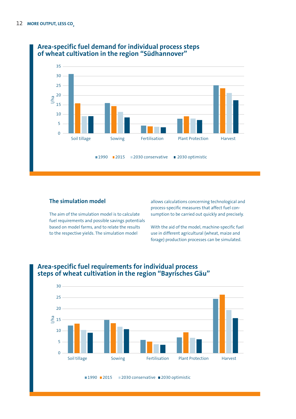

### **Area-specific fuel demand for individual process steps of wheat cultivation in the region "Südhannover"**

### **The simulation model**

The aim of the simulation model is to calculate fuel requirements and possible savings potentials based on model farms, and to relate the results to the respective yields. The simulation model

allows calculations concerning technological and process-specific measures that affect fuel consumption to be carried out quickly and precisely.

With the aid of the model, machine-specific fuel use in different agricultural (wheat, maize and forage) production processes can be simulated.



### **Area-specific fuel requirements for individual process steps of wheat cultivation in the region "Bayrisches Gäu"**

#### 1990 2015 2030 conservative 2030 optimistic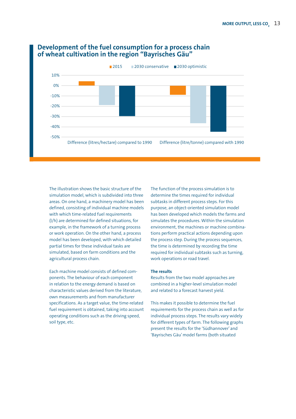

### **Development of the fuel consumption for a process chain of wheat cultivation in the region "Bayrisches Gäu"**

The illustration shows the basic structure of the simulation model, which is subdivided into three areas. On one hand, a machinery model has been defined, consisting of individual machine models with which time-related fuel requirements (l/h) are determined for defined situations, for example, in the framework of a turning process or work operation. On the other hand, a process model has been developed, with which detailed partial times for these individual tasks are simulated, based on farm conditions and the agricultural process chain.

Each machine model consists of defined components. The behaviour of each component in relation to the energy demand is based on characteristic values derived from the literature, own measurements and from manufacturer specifications. As a target value, the time-related fuel requirement is obtained, taking into account operating conditions such as the driving speed, soil type, etc.

The function of the process simulation is to determine the times required for individual subtasks in different process steps. For this purpose, an object-oriented simulation model has been developed which models the farms and simulates the procedures. Within the simulation environment, the machines or machine combinations perform practical actions depending upon the process step. During the process sequences, the time is determined by recording the time required for individual subtasks such as turning, work operations or road travel.

#### **The results**

Results from the two model approaches are combined in a higher-level simulation model and related to a forecast harvest yield.

This makes it possible to determine the fuel requirements for the process chain as well as for individual process steps. The results vary widely for different types of farm. The following graphs present the results for the 'Südhannover' and 'Bayrisches Gäu' model farms (both situated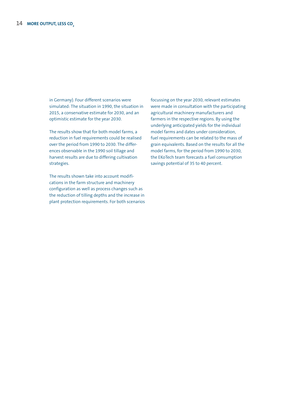in Germany). Four different scenarios were simulated: The situation in 1990, the situation in 2015, a conservative estimate for 2030, and an optimistic estimate for the year 2030.

The results show that for both model farms, a reduction in fuel requirements could be realised over the period from 1990 to 2030. The differences observable in the 1990 soil tillage and harvest results are due to differing cultivation strategies.

The results shown take into account modifications in the farm structure and machinery configuration as well as process changes such as the reduction of tilling depths and the increase in plant protection requirements. For both scenarios focussing on the year 2030, relevant estimates were made in consultation with the participating agricultural machinery manufacturers and farmers in the respective regions. By using the underlying anticipated yields for the individual model farms and dates under consideration, fuel requirements can be related to the mass of grain equivalents. Based on the results for all the model farms, for the period from 1990 to 2030, the EKoTech team forecasts a fuel consumption savings potential of 35 to 40 percent.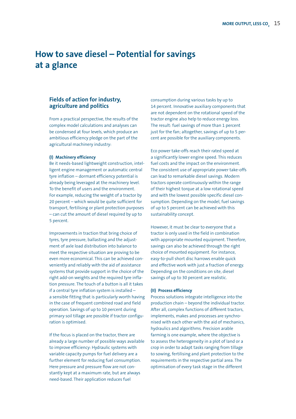## **How to save diesel – Potential for savings at a glance**

### **Fields of action for industry, agriculture and politics**

From a practical perspective, the results of the complex model calculations and analyses can be condensed at four levels, which produce an ambitious efficiency pledge on the part of the agricultural machinery industry:

#### **(I) Machinery efficiency**

Be it needs-based lightweight construction, intelligent engine management or automatic central tyre inflation – dormant efficiency potential is already being leveraged at the machinery level. To the benefit of users and the environment. For example, reducing the weight of a tractor by 20 percent – which would be quite sufficient for transport, fertilising or plant protection purposes – can cut the amount of diesel required by up to 5 percent.

Improvements in traction that bring choice of tyres, tyre pressure, ballasting and the adjustment of axle load distribution into balance to meet the respective situation are proving to be even more economical. This can be achieved conveniently and reliably with the aid of assistance systems that provide support in the choice of the right add-on weights and the required tyre inflation pressure. The touch of a button is all it takes if a central tyre inflation system is installed – a sensible fitting that is particularly worth having in the case of frequent combined road and field operation. Savings of up to 10 percent during primary soil tillage are possible if tractor configuration is optimised.

If the focus is placed on the tractor, there are already a large number of possible ways available to improve efficiency: Hydraulic systems with variable capacity pumps for fuel delivery are a further element for reducing fuel consumption. Here pressure and pressure flow are not constantly kept at a maximum rate, but are always need-based. Their application reduces fuel

consumption during various tasks by up to 14 percent. Innovative auxiliary components that are not dependent on the rotational speed of the tractor engine also help to reduce energy loss. The result: fuel savings of more than 1 percent just for the fan; altogether, savings of up to 5 percent are possible for the auxiliary components.

Eco power take-offs reach their rated speed at a significantly lower engine speed. This reduces fuel costs and the impact on the environment. The consistent use of appropriate power take-offs can lead to remarkable diesel savings. Modern tractors operate continuously within the range of their highest torque at a low rotational speed and with the lowest possible specific diesel consumption. Depending on the model, fuel savings of up to 5 percent can be achieved with this sustainability concept.

However, it must be clear to everyone that a tractor is only used in the field in combination with appropriate mounted equipment. Therefore, savings can also be achieved through the right choice of mounted equipment. For instance, easy-to-pull short disc harrows enable quick and effective work with just a fraction of energy. Depending on the conditions on site, diesel savings of up to 30 percent are realistic.

### **(II) Process efficiency**

Process solutions integrate intelligence into the production chain – beyond the individual tractor. After all, complex functions of different tractors, implements, makes and processes are synchronised with each other with the aid of mechanics, hydraulics and algorithms. Precision arable farming is one example, where the objective is to assess the heterogeneity in a plot of land or a crop in order to adapt tasks ranging from tillage to sowing, fertilising and plant protection to the requirements in the respective partial area. The optimisation of every task stage in the different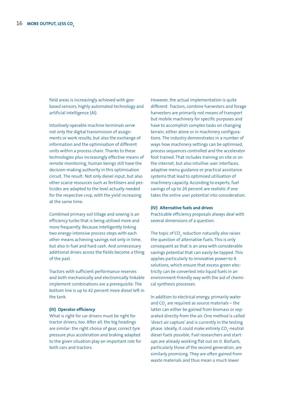field areas is increasingly achieved with geobased sensors, highly automated technology and artificial intelligence (AI).

Intuitively operable machine terminals serve not only the digital transmission of assignments or work results, but also the exchange of information and the optimisation of different units within a process chain. Thanks to these technologies plus increasingly effective means of remote monitoring, human beings still have the decision-making authority in this optimisation circuit. The result: Not only diesel input, but also other scarce resources such as fertilisers and pesticides are adapted to the level actually needed for the respective crop, with the yield increasing at the same time.

Combined primary soil tillage and sowing is an efficiency turbo that is being utilised more and more frequently. Because intelligently linking two energy-intensive process steps with each other means achieving savings not only in time, but also in fuel and hard cash. And unnecessary additional drives across the fields become a thing of the past.

Tractors with sufficient performance reserves and both mechanically and electronically linkable implement combinations are a prerequisite. The bottom line is up to 42 percent more diesel left in the tank.

#### **(III) Operator efficiency**

What is right for car drivers must be right for tractor drivers, too. After all, the big headings are similar: the right choice of gear, correct tyre pressure plus acceleration and braking adapted to the given situation play an important role for both cars and tractors.

However, the actual implementation is quite different. Tractors, combine harvesters and forage harvesters are primarily not means of transport but mobile machinery for specific purposes and have to accomplish complex tasks on changing terrain, either alone or in machinery configurations. The industry demonstrates in a number of ways how machinery settings can be optimised, process sequences controlled and the accelerator foot trained. That includes training on site or on the internet, but also intuitive user interfaces, adaptive menu guidance or practical assistance systems that lead to optimised utilisation of machinery capacity. According to experts, fuel savings of up to 20 percent are realistic if one takes the entire user potential into consideration.

#### **(IV) Alternative fuels and drives**

Practicable efficiency proposals always deal with several dimensions of a question.

The topic of CO $_{\textrm{\tiny{2}}}$  reduction naturally also raises the question of alternative fuels. This is only consequent as that is an area with considerable savings potential that can easily be tapped. This applies particularly to innovative power-to-X solutions, which ensure that excess green electricity can be converted into liquid fuels in an environment-friendly way with the aid of chemical synthesis processes.

In addition to electrical energy, primarily water and CO<sub>2</sub> are required as source materials – the latter can either be gained from biomass or separated directly from the air. One method is called 'direct air capture' and is currently in the testing phase. Ideally, it could make entirely  $CO_{2}$ -neutral diesel fuels possible; Fuel researchers and startups are already working flat out on it. Biofuels, particularly those of the second generation, are similarly promising. They are often gained from waste materials and thus mean a much lower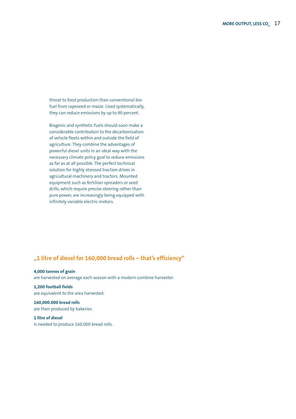threat to food production than conventional biofuel from rapeseed or maize. Used systematically, they can reduce emissions by up to 90 percent.

Biogenic and synthetic fuels should soon make a considerable contribution to the decarbonisation of vehicle fleets within and outside the field of agriculture. They combine the advantages of powerful diesel units in an ideal way with the necessary climate policy goal to reduce emissions as far as at all possible. The perfect technical solution for highly stressed traction drives in agricultural machinery and tractors. Mounted equipment such as fertiliser spreaders or seed drills, which require precise steering rather than pure power, are increasingly being equipped with infinitely variable electric motors.

### **"1 litre of diesel for 160,000 bread rolls – that's efficiency"**

**4,000 tonnes of grain** are harvested on average each season with a modern combine harvester.

**1,200 football fields** are equivalent to the area harvested.

**160,000.000 bread rolls** are then produced by bakeries.

**1 litre of diesel** is needed to produce 160,000 bread rolls.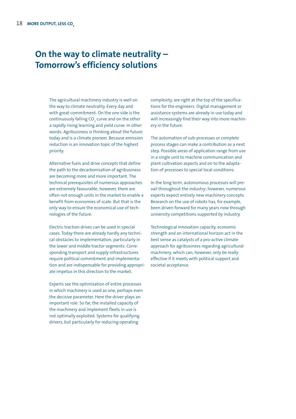## **On the way to climate neutrality – Tomorrow's efficiency solutions**

The agricultural machinery industry is well on the way to climate neutrality. Every day and with great commitment. On the one side is the continuously falling CO $_{\textrm{\tiny{2}}}$  curve and on the other a rapidly rising learning and yield curve. In other words: Agribusiness is thinking about the future today and is a climate pioneer. Because emission reduction is an innovation topic of the highest priority.

Alternative fuels and drive concepts that define the path to the decarbonisation of agribusiness are becoming more and more important. The technical prerequisites of numerous approaches are extremely favourable; however, there are often not enough units in the market to enable a benefit from economies of scale. But that is the only way to ensure the economical use of technologies of the future.

Electric traction drives can be used in special cases. Today there are already hardly any technical obstacles to implementation, particularly in the lower and middle tractor segments. Corresponding transport and supply infrastructures require political commitment and implementation and are indispensable for providing appropriate impetus in this direction to the market.

Experts see the optimisation of entire processes in which machinery is used as one, perhaps even the decisive parameter. Here the driver plays an important role. So far, the installed capacity of the machinery and implement fleets in use is not optimally exploited. Systems for qualifying drivers, but particularly for reducing operating

complexity, are right at the top of the specifications for the engineers. Digital management or assistance systems are already in use today and will increasingly find their way into more machinery in the future.

The automation of sub-processes or complete process stages can make a contribution as a next step. Possible areas of application range from use in a single unit to machine communication and plant cultivation aspects and on to the adaptation of processes to special local conditions.

In the long term, autonomous processes will prevail throughout the industry; however, numerous experts expect entirely new machinery concepts. Research on the use of robots has, for example, been driven forward for many years now through university competitions supported by industry.

Technological innovation capacity, economic strength and an international horizon act in the best sense as catalysts of a pro-active climate approach for agribusiness regarding agricultural machinery, which can, however, only be really effective if it meets with political support and societal acceptance.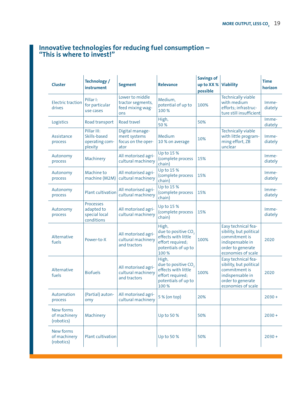### **Innovative technologies for reducing fuel consumption – "This is where to invest!"**

| <b>Cluster</b>                          | Technology /<br>instrument                               | <b>Segment</b>                                                  | <b>Relevance</b>                                                                                                    | <b>Savings of</b><br>up to XX %<br>possible | <b>Viability</b>                                                                                                               | <b>Time</b><br>horizon |
|-----------------------------------------|----------------------------------------------------------|-----------------------------------------------------------------|---------------------------------------------------------------------------------------------------------------------|---------------------------------------------|--------------------------------------------------------------------------------------------------------------------------------|------------------------|
| <b>Electric traction</b><br>drives      | Pillar I:<br>for particular<br>use cases                 | Lower to middle<br>tractor segments,<br>feed mixing wag-<br>ons | Medium,<br>potential of up to<br>100 %                                                                              | 100%                                        | <b>Technically viable</b><br>with medium<br>efforts; infrastruc-<br>ture still insufficient                                    | Imme-<br>diately       |
| Logistics                               | Road transport                                           | Road travel                                                     | High,<br>50%                                                                                                        | 50%                                         |                                                                                                                                | Imme-<br>diately       |
| Assistance<br>process                   | Pillar III:<br>Skills-based<br>operating com-<br>plexity | Digital manage-<br>ment systems<br>focus on the oper-<br>ator   | Medium<br>10 % on average                                                                                           | 10%                                         | <b>Technically viable</b><br>with little program-<br>ming effort, ZB<br>unclear                                                | Imme-<br>diately       |
| Autonomy<br>process                     | Machinery                                                | All motorised agri-<br>cultural machinery                       | Up to 15 %<br>(complete process<br>chain)                                                                           | 15%                                         |                                                                                                                                | Imme-<br>diately       |
| Autonomy<br>process                     | Machine to<br>machine (M2M)                              | All motorised agri-<br>cultural machinery                       | Up to 15 %<br>(complete process<br>chain)                                                                           | 15%                                         |                                                                                                                                | Imme-<br>diately       |
| Autonomy<br>process                     | Plant cultivation                                        | All motorised agri-<br>cultural machinery                       | Up to 15 %<br>(complete process<br>chain)                                                                           | 15%                                         |                                                                                                                                | Imme-<br>diately       |
| Autonomy<br>process                     | Processes<br>adapted to<br>special local<br>conditions   | All motorised agri-<br>cultural machinery                       | Up to 15 %<br>(complete process<br>chain)                                                                           | 15%                                         |                                                                                                                                | Imme-<br>diately       |
| Alternative<br>fuels                    | Power-to-X                                               | All motorised agri-<br>cultural machinery<br>and tractors       | High,<br>due to positive CO <sub>2</sub><br>effects with little<br>effort required;<br>potentials of up to<br>100 % | 100%                                        | Easy technical fea-<br>sibility, but political<br>commitment is<br>indispensable in<br>order to generate<br>economies of scale | 2020                   |
| Alternative<br>fuels                    | <b>Biofuels</b>                                          | All motorised agri-<br>cultural machinery<br>and tractors       | High,<br>due to positive CO <sub>2</sub><br>effects with little<br>effort required;<br>potentials of up to<br>100 % | 100%                                        | Easy technical fea-<br>sibility, but political<br>commitment is<br>indispensable in<br>order to generate<br>economies of scale | 2020                   |
| Automation<br>process                   | (Partial) auton-<br>omy                                  | All motorised agri-<br>cultural machinery                       | 5 % (on top)                                                                                                        | 20%                                         |                                                                                                                                | $2030 +$               |
| New forms<br>of machinery<br>(robotics) | Machinery                                                |                                                                 | Up to 50 %                                                                                                          | 50%                                         |                                                                                                                                | $2030 +$               |
| New forms<br>of machinery<br>(robotics) | Plant cultivation                                        |                                                                 | Up to 50 %                                                                                                          | 50%                                         |                                                                                                                                | $2030 +$               |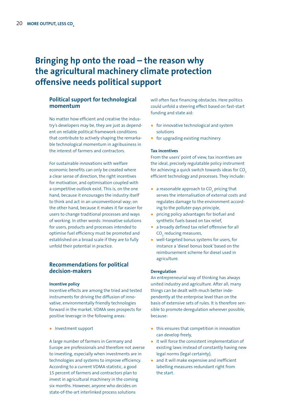## **Bringing hp onto the road – the reason why the agricultural machinery climate protection offensive needs political support**

### **Political support for technological momentum**

No matter how efficient and creative the industry's developers may be, they are just as dependent on reliable political framework conditions that contribute to actively shaping the remarkable technological momentum in agribusiness in the interest of farmers and contractors.

For sustainable innovations with welfare economic benefits can only be created where a clear sense of direction, the right incentives for motivation, and optimisation coupled with a competitive outlook exist. This is, on the one hand, because it encourages the industry itself to think and act in an unconventional way; on the other hand, because it makes it far easier for users to change traditional processes and ways of working. In other words: Innovative solutions for users, products and processes intended to optimise fuel efficiency must be promoted and established on a broad scale if they are to fully unfold their potential in practice.

### **Recommendations for political decision-makers**

#### **Incentive policy**

Incentive effects are among the tried and tested instruments for driving the diffusion of innovative, environmentally friendly technologies forward in the market. VDMA sees prospects for positive leverage in the following areas:

**•** Investment support

A large number of farmers in Germany and Europe are professionals and therefore not averse to investing, especially when investments are in technologies and systems to improve efficiency. According to a current VDMA statistic, a good 15 percent of farmers and contractors plan to invest in agricultural machinery in the coming six months. However, anyone who decides on state-of-the-art interlinked process solutions

will often face financing obstacles. Here politics could unfold a steering effect based on fast-start funding and state aid:

- **•** for innovative technological and system solutions
- **•** for upgrading existing machinery

#### **Tax incentives**

From the users' point of view, tax incentives are the ideal, precisely regulatable policy instrument for achieving a quick switch towards ideas for CO<sub>2</sub> efficient technology and processes. They include:

- a reasonable approach to CO<sub>2</sub> pricing that serves the internalisation of external costs and regulates damage to the environment according to the polluter-pays principle,
- **•** pricing policy advantages for biofuel and synthetic fuels based on tax relief,
- **•** a broadly defined tax relief offensive for all  $CO<sub>2</sub>$  reducing measures,
- **•** well-targeted bonus systems for users, for instance a 'diesel bonus book' based on the reimbursement scheme for diesel used in agriculture.

#### **Deregulation**

An entrepreneurial way of thinking has always united industry and agriculture. After all, many things can be dealt with much better independently at the enterprise level than on the basis of extensive sets of rules. It is therefore sensible to promote deregulation wherever possible, because:

- **•** this ensures that competition in innovation can develop freely,
- **•** it will force the consistent implementation of existing laws instead of constantly having new legal norms (legal certainty),
- **•** and it will make expensive and inefficient labelling measures redundant right from the start.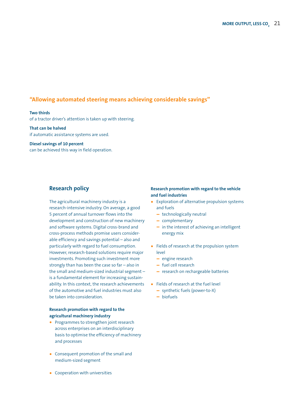### **"Allowing automated steering means achieving considerable savings"**

### **Two thirds**

of a tractor driver's attention is taken up with steering.

### **That can be halved** if automatic assistance systems are used.

#### **Diesel savings of 10 percent**

can be achieved this way in field operation.

### **Research policy**

The agricultural machinery industry is a research-intensive industry. On average, a good 5 percent of annual turnover flows into the development and construction of new machinery and software systems. Digital cross-brand and cross-process methods promise users considerable efficiency and savings potential – also and particularly with regard to fuel consumption. However, research-based solutions require major investments. Promoting such investment more strongly than has been the case so far – also in the small and medium-sized industrial segment – is a fundamental element for increasing sustainability. In this context, the research achievements of the automotive and fuel industries must also be taken into consideration.

### **Research promotion with regard to the agricultural machinery industry**

- **•** Programmes to strengthen joint research across enterprises on an interdisciplinary basis to optimise the efficiency of machinery and processes
- **•** Consequent promotion of the small and medium-sized segment
- **•** Cooperation with universities

### **Research promotion with regard to the vehicle and fuel industries**

- **•** Exploration of alternative propulsion systems and fuels
	- **−** technologically neutral
	- **−** complementary
	- **−** in the interest of achieving an intelligent energy mix
- **•** Fields of research at the propulsion system level
	- **−** engine research
	- **−** fuel cell research
	- **−** research on rechargeable batteries
- **•** Fields of research at the fuel level
	- **−** synthetic fuels (power-to-X)
	- **−** biofuels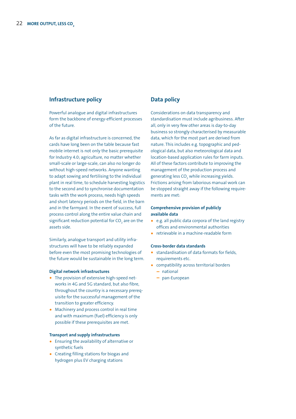### **Infrastructure policy**

Powerful analogue and digital infrastructures form the backbone of energy-efficient processes of the future.

As far as digital infrastructure is concerned, the cards have long been on the table because fast mobile internet is not only the basic prerequisite for Industry 4.0; agriculture, no matter whether small-scale or large-scale, can also no longer do without high-speed networks. Anyone wanting to adapt sowing and fertilising to the individual plant in real time, to schedule harvesting logistics to the second and to synchronise documentation tasks with the work process, needs high speeds and short latency periods on the field, in the barn and in the farmyard. In the event of success, full process control along the entire value chain and significant reduction potential for CO $_{_2}$  are on the assets side.

Similarly, analogue transport and utility infrastructures will have to be reliably expanded before even the most promising technologies of the future would be sustainable in the long term.

#### **Digital network infrastructures**

- **•** The provision of extensive high-speed networks in 4G and 5G standard, but also fibre, throughout the country is a necessary prerequisite for the successful management of the transition to greater efficiency.
- **•** Machinery and process control in real time and with maximum (fuel) efficiency is only possible if these prerequisites are met.

#### **Transport and supply infrastructures**

- **•** Ensuring the availability of alternative or synthetic fuels
- **•** Creating filling stations for biogas and hydrogen plus EV charging stations

### **Data policy**

Considerations on data transparency and standardisation must include agribusiness. After all, only in very few other areas is day-to-day business so strongly characterised by measurable data, which for the most part are derived from nature. This includes e.g. topographic and pedological data, but also meteorological data and location-based application rules for farm inputs. All of these factors contribute to improving the management of the production process and generating less  $\textsf{CO}_\textsf{2}$  while increasing yields. Frictions arising from laborious manual work can be stopped straight away if the following requirements are met:

### **Comprehensive provision of publicly available data**

- **•** e.g. all public data corpora of the land registry offices and environmental authorities
- **•** retrievable in a machine-readable form

#### **Cross-border data standards**

- **•** standardisation of data formats for fields, requirements etc.
- **•** compatibility across territorial borders
	- **−** national
	- **−** pan-European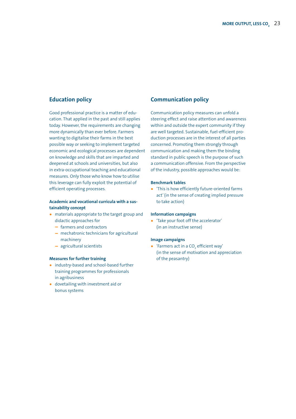### **Education policy**

Good professional practice is a matter of education. That applied in the past and still applies today. However, the requirements are changing more dynamically than ever before. Farmers wanting to digitalise their farms in the best possible way or seeking to implement targeted economic and ecological processes are dependent on knowledge and skills that are imparted and deepened at schools and universities, but also in extra-occupational teaching and educational measures. Only those who know how to utilise this leverage can fully exploit the potential of efficient operating processes.

### **Academic and vocational curricula with a sustainability concept**

- **•** materials appropriate to the target group and didactic approaches for
	- **−** farmers and contractors
	- **−** mechatronic technicians for agricultural machinery
	- **−** agricultural scientists

#### **Measures for further training**

- **•** industry-based and school-based further training programmes for professionals in agribusiness
- **•** dovetailing with investment aid or bonus systems

### **Communication policy**

Communication policy measures can unfold a steering effect and raise attention and awareness within and outside the expert community if they are well targeted. Sustainable, fuel-efficient production processes are in the interest of all parties concerned. Promoting them strongly through communication and making them the binding standard in public speech is the purpose of such a communication offensive. From the perspective of the industry, possible approaches would be:

### **Benchmark tables**

**•** 'This is how efficiently future-oriented farms act' (in the sense of creating implied pressure to take action)

#### **Information campaigns**

**•** 'Take your foot off the accelerator' (in an instructive sense)

#### **Image campaigns**

• 'Farmers act in a CO<sub>2</sub> efficient way' (in the sense of motivation and appreciation of the peasantry)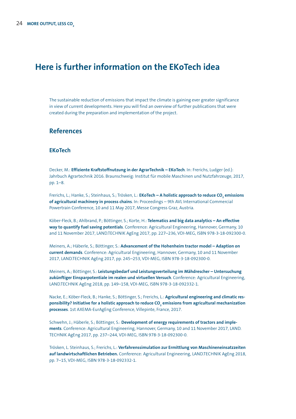## **Here is further information on the EKoTech idea**

The sustainable reduction of emissions that impact the climate is gaining ever greater significance in view of current developments. Here you will find an overview of further publications that were created during the preparation and implementation of the project.

### **References**

### **EKoTech**

Decker, M.: **Effiziente Kraftstoffnutzung in der AgrarTechnik – EKoTech**. In: Frerichs, Ludger (ed.): Jahrbuch Agrartechnik 2016. Braunschweig: Institut für mobile Maschinen und Nutzfahrzeuge, 2017, pp. 1–8.

**F**rerichs, L.; Hanke, S.; Steinhaus, S.; Trösken, L.: **EKoTech – A holistic approach to reduce CO<sub>2</sub> emissions of agricultural machinery in process chains**. In: Proceedings – 9th AVL International Commercial Powertrain Conference, 10 and 11 May 2017, Messe Congress Graz, Austria.

Köber-Fleck, B.; Ahlbrand, P.; Böttinger, S.; Korte, H.: **Telematics and big data analytics – An effective way to quantify fuel saving potentials**. Conference: Agricultural Engineering, Hannover, Germany, 10 and 11 November 2017, LAND.TECHNIK AgEng 2017, pp. 227–236, VDI-MEG, ISBN 978-3-18-092300-0.

Meiners, A.; Häberle, S.; Böttinger, S.: **Advancement of the Hohenheim tractor model – Adaption on current demands**. Conference: Agricultural Engineering, Hannover, Germany, 10 and 11 November 2017, LAND.TECHNIK AgEng 2017, pp. 245–253, VDI-MEG, ISBN 978-3-18-092300-0.

Meiners, A.; Böttinger, S.: **Leistungsbedarf und Leistungsverteilung im Mähdrescher – Untersuchung zukünftiger Einsparpotentiale im realen und virtuellen Versuch**. Conference: Agricultural Engineering, LAND.TECHNIK AgEng 2018, pp. 149–158, VDI-MEG, ISBN 978-3-18-092332-1.

Nacke, E.; Köber-Fleck, B.; Hanke, S.; Böttinger, S.; Frerichs, L.: **Agricultural engineering and climatic res**ponsibility? Initiative for a holistic approach to reduce CO<sub>2</sub> emissions from agricultural mechanization **processes**. 1st AXEMA-EurAgEng Conference, Villepinte, France, 2017.

Schwehn, J.; Häberle, S.; Böttinger, S.: **Development of energy requirements of tractors and implements**. Conference: Agricultural Engineering, Hannover, Germany, 10 and 11 November 2017, LAND. TECHNIK AgEng 2017, pp. 237–244, VDI-MEG, ISBN 978-3-18-092300-0.

Trösken, L. Steinhaus, S.; Frerichs, L.: **Verfahrenssimulation zur Ermittlung von Maschineneinsatzzeiten auf landwirtschaftlichen Betrieben.** Conference: Agricultural Engineering, LAND.TECHNIK AgEng 2018, pp. 7–15, VDI-MEG, ISBN 978-3-18-092332-1.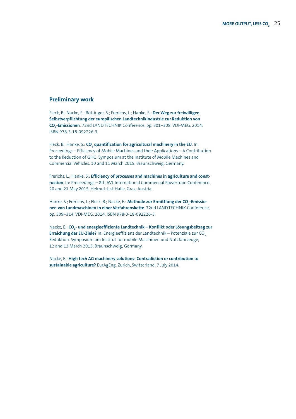### **Preliminary work**

Fleck, B.; Nacke, E.; Böttinger, S.; Frerichs, L.; Hanke, S.: **Der Weg zur freiwilligen Selbstverpflichtung der europäischen Landtechnikindustrie zur Reduktion von CO2 -Emissionen**. 72nd LAND.TECHNIK Conference, pp. 301–308, VDI-MEG, 2014, ISBN 978-3-18-092226-3.

**Fleck, B.; Hanke, S.: <b>CO<sub>2</sub> quantification for agricultural machinery in the EU**. In: Proceedings – Efficiency of Mobile Machines and their Applications – A Contribution to the Reduction of GHG. Symposium at the Institute of Mobile Machines and Commercial Vehicles, 10 and 11 March 2015, Braunschweig, Germany.

Frerichs, L.; Hanke, S.: **Efficiency of processes and machines in agriculture and construction**. In: Proceedings – 8th AVL International Commercial Powertrain Conference. 20 and 21 May 2015, Helmut-List-Halle, Graz, Austria.

Hanke, S.; Frerichs, L.; Fleck, B.; Nacke, E.: **Methode zur Ermittlung der CO<sub>2</sub>-Emissionen von Landmaschinen in einer Verfahrenskette**. 72nd LAND.TECHNIK Conference, pp. 309–314, VDI-MEG, 2014, ISBN 978-3-18-092226-3.

Nacke, E.: **CO<sub>2</sub>- und energieeffiziente Landtechnik – Konflikt oder Lösungsbeitrag zur** Erreichung der EU-Ziele? In: Energieeffizienz der Landtechnik – Potenziale zur CO<sub>2</sub> Reduktion. Symposium am Institut für mobile Maschinen und Nutzfahrzeuge, 12 and 13 March 2013, Braunschweig, Germany.

Nacke, E.: **High tech AG machinery solutions: Contradiction or contribution to sustainable agriculture?** EurAgEng. Zurich, Switzerland, 7 July 2014.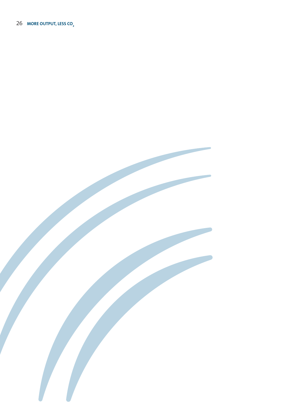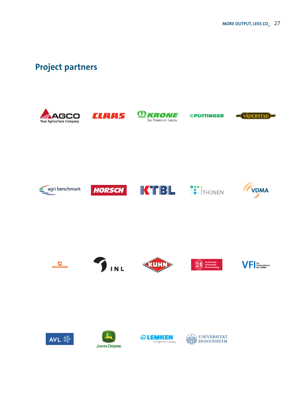## **Project partners**

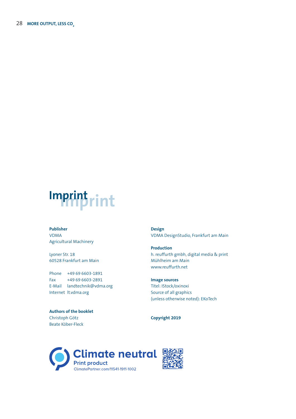

### **Publisher**

VDMA Agricultural Machinery

Lyoner Str. 18 60528 Frankfurt am Main

Phone +49 69 6603-1891 Fax +49 69 6603-2891 E-Mail landtechnik@vdma.org Internet lt.vdma.org

**Authors of the booklet** Christoph Götz Beate Köber-Fleck

**Design** VDMA DesignStudio, Frankfurt am Main

**Production**  h. reuffurth gmbh, digital media & print Mühlheim am Main www.reuffurth.net

**Image sources** Titel: IStock/oxinoxi Source of all graphics (unless otherwise noted): EKoTech

**Copyright 2019**